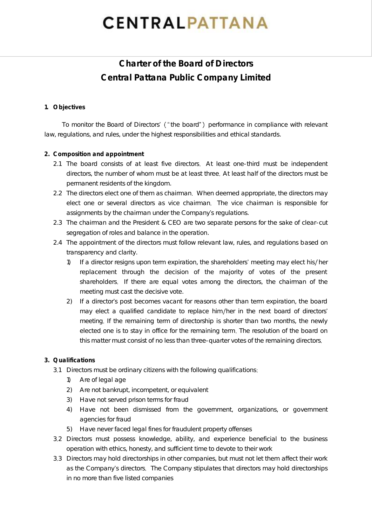# **CENTRALPATTANA**

# **Charter of the Board of Directors Central Pattana Public Company Limited**

### **1. Objectives**

To monitor the Board of Directors' ("the board") performance in compliance with relevant law, regulations, and rules, under the highest responsibilities and ethical standards.

## **2. Composition and appointment**

- 2.1 The board consists of at least five directors. At least one-third must be independent directors, the number of whom must be at least three At least half of the directors must be permanent residents of the kingdom.
- 2.2 The directors elect one of them as chairman. When deemed appropriate, the directors may elect one or several directors as vice chairman The vice chairman is responsible for assignments by the chairman under the Company's regulations.
- 2.3 The chairman and the President & CEO are two separate persons for the sake of clear-cut segregation of roles and balance in the operation.
- 2.4 The appointment of the directors must follow relevant law, rules, and regulations based on transparency and clarity.
	- 1) If a director resigns upon term expiration, the shareholders' meeting may elect his/her replacement through the decision of the majority of votes of the present shareholders. If there are equal votes among the directors, the chairman of the meeting must cast the decisive vote.
	- 2) If a director's post becomes vacant for reasons other than term expiration, the board may elect a qualified candidate to replace him/her in the next board of directors' meeting. If the remaining term of directorship is shorter than two months, the newly elected one is to stay in office for the remaining term. The resolution of the board on this matter must consist of no less than three-quarter votes of the remaining directors

# **3. Qualifications**

- 3.1 Directors must be ordinary citizens with the following qualifications:
	- 1) Are of legal age
	- 2) Are not bankrupt, incompetent, or equivalent
	- 3) Have not served prison terms for fraud
	- 4) Have not been dismissed from the government, organizations, or government agencies for fraud
	- 5) Have never faced legal fines for fraudulent property offenses
- 3 2 Directors must possess knowledge, ability, and experience beneficial to the business operation with ethics, honesty, and sufficient time to devote to their work
- 3 3 Directors may hold directorships in other companies, but must not let them affect their work as the Company's directors. The Company stipulates that directors may hold directorships in no more than five listed companies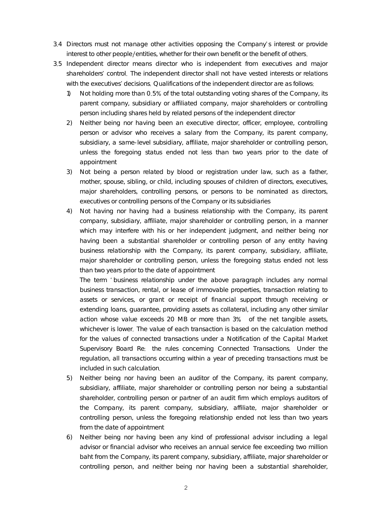- 3.4 Directors must not manage other activities opposing the Company's interest or provide interest to other people/entities, whether for their own benefit or the benefit of others.
- 3 5 Independent director means director who is independent from executives and major shareholders' control. The independent director shall not have vested interests or relations with the executives' decisions. Qualifications of the independent director are as follows:
	- 1) Not holding more than 0.5% of the total outstanding voting shares of the Company, its parent company, subsidiary or affiliated company, major shareholders or controlling person including shares held by related persons of the independent director
	- 2) Neither being nor having been an executive director, officer, employee, controlling person or advisor who receives a salary from the Company, its parent company, subsidiary, a same-level subsidiary, affiliate, major shareholder or controlling person, unless the foregoing status ended not less than two years prior to the date of appointment
	- 3) Not being a person related by blood or registration under law, such as a father, mother, spouse, sibling, or child, including spouses of children of directors, executives, major shareholders, controlling persons, or persons to be nominated as directors, executives or controlling persons of the Company or its subsidiaries
	- 4) Not having nor having had a business relationship with the Company, its parent company, subsidiary, affiliate, major shareholder or controlling person, in a manner which may interfere with his or her independent judgment, and neither being nor having been a substantial shareholder or controlling person of any entity having business relationship with the Company, its parent company, subsidiary, affiliate, major shareholder or controlling person, unless the foregoing status ended not less than two years prior to the date of appointment

The term 'business relationship under the above paragraph includes any normal business transaction, rental, or lease of immovable properties, transaction relating to assets or services, or grant or receipt of financial support through receiving or extending loans, guarantee, providing assets as collateral, including any other similar action whose value exceeds 20 MB or more than 3% of the net tangible assets, whichever is lower. The value of each transaction is based on the calculation method for the values of connected transactions under a Notification of the Capital Market Supervisory Board Re: the rules concerning Connected Transactions. Under the regulation, all transactions occurring within a year of preceding transactions must be included in such calculation

- 5) Neither being nor having been an auditor of the Company, its parent company, subsidiary, affiliate, major shareholder or controlling person nor being a substantial shareholder, controlling person or partner of an audit firm which employs auditors of the Company, its parent company, subsidiary, affiliate, major shareholder or controlling person, unless the foregoing relationship ended not less than two years from the date of appointment
- 6) Neither being nor having been any kind of professional advisor including a legal advisor or financial advisor who receives an annual service fee exceeding two million baht from the Company, its parent company, subsidiary, affiliate, major shareholder or controlling person, and neither being nor having been a substantial shareholder,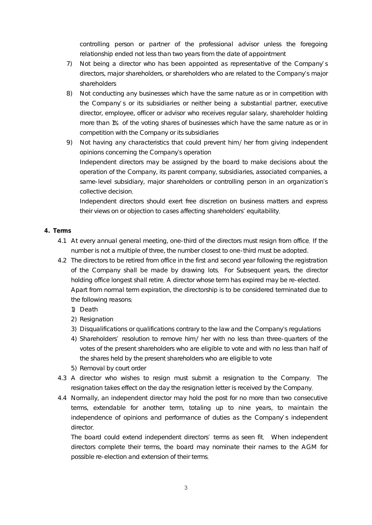controlling person or partner of the professional advisor unless the foregoing relationship ended not less than two years from the date of appointment

- 7) Not being a director who has been appointed as representative of the Company's directors, major shareholders, or shareholders who are related to the Company s major shareholders
- 8) Not conducting any businesses which have the same nature as or in competition with the Company's or its subsidiaries or neither being a substantial partner, executive director, employee, officer or advisor who receives regular salary, shareholder holding more than 1% of the voting shares of businesses which have the same nature as or in competition with the Company or its subsidiaries
- 9) Not having any characteristics that could prevent him/ her from giving independent opinions concerning the Company's operation Independent directors may be assigned by the board to make decisions about the operation of the Company, its parent company, subsidiaries, associated companies, a same-level subsidiary, major shareholders or controlling person in an organization's collective decision

Independent directors should exert free discretion on business matters and express their views on or objection to cases affecting shareholders' equitability.

#### **4. Terms**

- 4.1 At every annual general meeting, one-third of the directors must resign from office. If the number is not a multiple of three, the number closest to one-third must be adopted.
- 4.2 The directors to be retired from office in the first and second year following the registration of the Company shall be made by drawing lots For Subsequent years, the director holding office longest shall retire. A director whose term has expired may be re-elected. Apart from normal term expiration, the directorship is to be considered terminated due to the following reasons
	- 1) Death
	- 2) Resignation
	- 3) Disqualifications or qualifications contrary to the law and the Company's regulations
	- 4) Shareholders' resolution to remove him/ her with no less than three-quarters of the votes of the present shareholders who are eligible to vote and with no less than half of the shares held by the present shareholders who are eligible to vote
	- 5) Removal by court order
- 4.3 A director who wishes to resign must submit a resignation to the Company. The resignation takes effect on the day the resignation letter is received by the Company
- 4.4 Normally, an independent director may hold the post for no more than two consecutive terms, extendable for another term, totaling up to nine years, to maintain the independence of opinions and performance of duties as the Company's independent director

The board could extend independent directors' terms as seen fit. When independent directors complete their terms, the board may nominate their names to the AGM for possible re-election and extension of their terms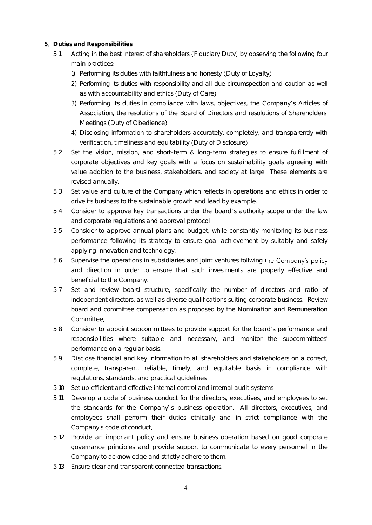- **5 Duties and Responsibilities**
	- 5.1 Acting in the best interest of shareholders (Fiduciary Duty) by observing the following four main practices
		- 1) Performing its duties with faithfulness and honesty (Duty of Loyalty)
		- 2) Performing its duties with responsibility and all due circumspection and caution as well as with accountability and ethics (Duty of Care)
		- 3) Performing its duties in compliance with laws, objectives, the Company s Articles of Association, the resolutions of the Board of Directors and resolutions of Shareholders Meetings (Duty of Obedience)
		- 4) Disclosing information to shareholders accurately, completely, and transparently with verification, timeliness and equitability (Duty of Disclosure)
	- 5.2 Set the vision, mission, and short-term & long-term strategies to ensure fulfillment of corporate objectives and key goals with a focus on sustainability goals agreeing with value addition to the business, stakeholders, and society at large. These elements are revised annually
	- 5.3 Set value and culture of the Company which reflects in operations and ethics in order to drive its business to the sustainable growth and lead by example.
	- 5.4 Consider to approve key transactions under the board's authority scope under the law and corporate regulations and approval protocol
	- 5.5 Consider to approve annual plans and budget, while constantly monitoring its business performance following its strategy to ensure goal achievement by suitably and safely applying innovation and technology
	- 5.6 Supervise the operations in subsidiaries and joint ventures follwing and direction in order to ensure that such investments are properly effective and beneficial to the Company.
	- 5.7 Set and review board structure, specifically the number of directors and ratio of independent directors, as well as diverse qualifications suiting corporate business. Review board and committee compensation as proposed by the Nomination and Remuneration Committee
	- 5.8 Consider to appoint subcommittees to provide support for the board's performance and responsibilities where suitable and necessary, and monitor the subcommittees performance on a regular basis
	- 5.9 Disclose financial and key information to all shareholders and stakeholders on a correct, complete, transparent, reliable, timely, and equitable basis in compliance with regulations, standards, and practical guidelines
	- 5.10 Set up efficient and effective internal control and internal audit systems
	- 5.11 Develop a code of business conduct for the directors, executives, and employees to set the standards for the Company's business operation. All directors, executives, and employees shall perform their duties ethically and in strict compliance with the Company's code of conduct.
	- 5.12 Provide an important policy and ensure business operation based on good corporate governance principles and provide support to communicate to every personnel in the Company to acknowledge and strictly adhere to them
	- 5.13 Ensure clear and transparent connected transactions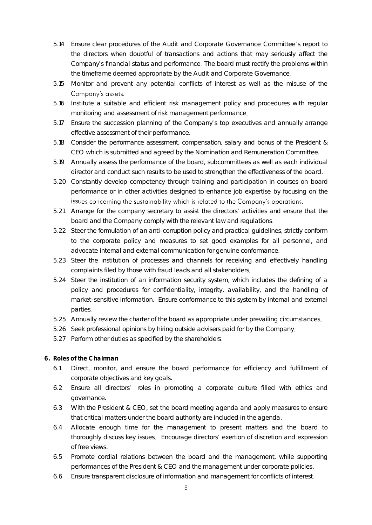- 5.14 Ensure clear procedures of the Audit and Corporate Governance Committee's report to the directors when doubtful of transactions and actions that may seriously affect the Company's financial status and performance. The board must rectify the problems within the timeframe deemed appropriate by the Audit and Corporate Governance
- 5.15 Monitor and prevent any potential conflicts of interest as well as the misuse of the Company's assets.
- 5.16 Institute a suitable and efficient risk management policy and procedures with regular monitoring and assessment of risk management performance
- 5.17 Ensure the succession planning of the Company s top executives and annually arrange effective assessment of their performance
- 5.18 Consider the performance assessment, compensation, salary and bonus of the President & CEO which is submitted and agreed by the Nomination and Remuneration Committee.
- 5.19 Annually assess the performance of the board, subcommittees as well as each individual director and conduct such results to be used to strengthen the effectiveness of the board.
- 5.20 Constantly develop competency through training and participation in courses on board performance or in other activities designed to enhance job expertise by focusing on the issues concerning the sustainability which is related to the Company's operations.
- 5.21 Arrange for the company secretary to assist the directors' activities and ensure that the board and the Company comply with the relevant law and regulations
- 5.22 Steer the formulation of an anti-corruption policy and practical guidelines, strictly conform to the corporate policy and measures to set good examples for all personnel, and advocate internal and external communication for genuine conformance
- 5.23 Steer the institution of processes and channels for receiving and effectively handling complaints filed by those with fraud leads and all stakeholders
- 5.24 Steer the institution of an information security system, which includes the defining of a policy and procedures for confidentiality, integrity, availability, and the handling of market-sensitive information. Ensure conformance to this system by internal and external parties
- 5.25 Annually review the charter of the board as appropriate under prevailing circumstances
- 5.26 Seek professional opinions by hiring outside advisers paid for by the Company
- 5.27 Perform other duties as specified by the shareholders
- **6. Roles of the Chairman**
	- 6.1 Direct, monitor, and ensure the board performance for efficiency and fulfillment of corporate objectives and key goals.
	- 6.2 Ensure all directors' roles in promoting a corporate culture filled with ethics and governance.
	- 6.3 With the President & CEO, set the board meeting agenda and apply measures to ensure that critical matters under the board authority are included in the agenda.
	- 6.4 Allocate enough time for the management to present matters and the board to thoroughly discuss key issues. Encourage directors' exertion of discretion and expression of free views.
	- 6.5 Promote cordial relations between the board and the management, while supporting performances of the President & CEO and the management under corporate policies.
	- 6.6 Ensure transparent disclosure of information and management for conflicts of interest.